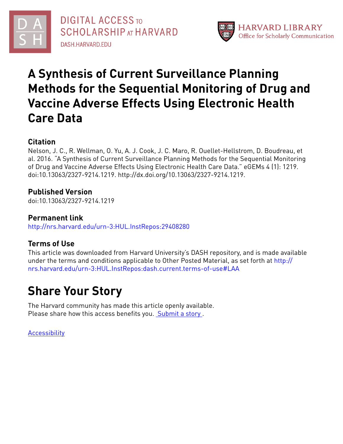

**DIGITAL ACCESS TO SCHOLARSHIP AT HARVARD DASH.HARVARD.EDU** 



# **A Synthesis of Current Surveillance Planning Methods for the Sequential Monitoring of Drug and Vaccine Adverse Effects Using Electronic Health Care Data**

# **Citation**

Nelson, J. C., R. Wellman, O. Yu, A. J. Cook, J. C. Maro, R. Ouellet-Hellstrom, D. Boudreau, et al. 2016. "A Synthesis of Current Surveillance Planning Methods for the Sequential Monitoring of Drug and Vaccine Adverse Effects Using Electronic Health Care Data." eGEMs 4 (1): 1219. doi:10.13063/2327-9214.1219. http://dx.doi.org/10.13063/2327-9214.1219.

# **Published Version**

doi:10.13063/2327-9214.1219

# **Permanent link**

<http://nrs.harvard.edu/urn-3:HUL.InstRepos:29408280>

# **Terms of Use**

This article was downloaded from Harvard University's DASH repository, and is made available under the terms and conditions applicable to Other Posted Material, as set forth at [http://](http://nrs.harvard.edu/urn-3:HUL.InstRepos:dash.current.terms-of-use#LAA) [nrs.harvard.edu/urn-3:HUL.InstRepos:dash.current.terms-of-use#LAA](http://nrs.harvard.edu/urn-3:HUL.InstRepos:dash.current.terms-of-use#LAA)

# **Share Your Story**

The Harvard community has made this article openly available. Please share how this access benefits you. [Submit](http://osc.hul.harvard.edu/dash/open-access-feedback?handle=&title=A%20Synthesis%20of%20Current%20Surveillance%20Planning%20Methods%20for%20the%20Sequential%20Monitoring%20of%20Drug%20and%20Vaccine%20Adverse%20Effects%20Using%20Electronic%20Health%20Care%20Data&community=1/4454685&collection=1/4454686&owningCollection1/4454686&harvardAuthors=82e408f8920ed3f38f6078bf4ef7626e&department) a story.

**[Accessibility](https://dash.harvard.edu/pages/accessibility)**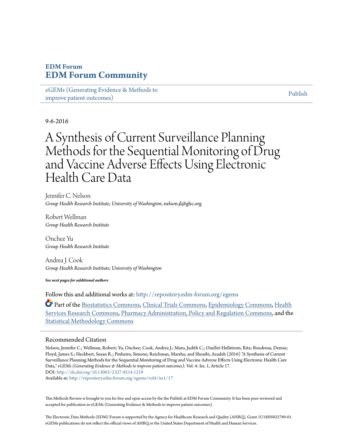# **EDM Forum [EDM Forum Community](http://repository.edm-forum.org?utm_source=repository.edm-forum.org%2Fegems%2Fvol4%2Fiss1%2F17&utm_medium=PDF&utm_campaign=PDFCoverPages)**

[eGEMs \(Generating Evidence & Methods to](http://repository.edm-forum.org/egems?utm_source=repository.edm-forum.org%2Fegems%2Fvol4%2Fiss1%2F17&utm_medium=PDF&utm_campaign=PDFCoverPages) [improve patient outcomes\)](http://repository.edm-forum.org/egems?utm_source=repository.edm-forum.org%2Fegems%2Fvol4%2Fiss1%2F17&utm_medium=PDF&utm_campaign=PDFCoverPages)

[Publish](http://repository.edm-forum.org/publish?utm_source=repository.edm-forum.org%2Fegems%2Fvol4%2Fiss1%2F17&utm_medium=PDF&utm_campaign=PDFCoverPages)

### 9-6-2016

# A Synthesis of Current Surveillance Planning Methods for the Sequential Monitoring of Drug and Vaccine Adverse Effects Using Electronic Health Care Data

Jennifer C. Nelson *Group Health Research Institute; University of Washington*, nelson.jl@ghc.org

Robert Wellman *Group Health Research Institute*

Onchee Yu *Group Health Research Institute*

Andrea J. Cook *Group Health Research Institute; University of Washington*

*See next pages for additional authors*

Follow this and additional works at: [http://repository.edm-forum.org/egems](http://repository.edm-forum.org/egems?utm_source=repository.edm-forum.org%2Fegems%2Fvol4%2Fiss1%2F17&utm_medium=PDF&utm_campaign=PDFCoverPages)

Part of the [Biostatistics Commons,](http://network.bepress.com/hgg/discipline/210?utm_source=repository.edm-forum.org%2Fegems%2Fvol4%2Fiss1%2F17&utm_medium=PDF&utm_campaign=PDFCoverPages) [Clinical Trials Commons](http://network.bepress.com/hgg/discipline/820?utm_source=repository.edm-forum.org%2Fegems%2Fvol4%2Fiss1%2F17&utm_medium=PDF&utm_campaign=PDFCoverPages), [Epidemiology Commons](http://network.bepress.com/hgg/discipline/740?utm_source=repository.edm-forum.org%2Fegems%2Fvol4%2Fiss1%2F17&utm_medium=PDF&utm_campaign=PDFCoverPages), [Health](http://network.bepress.com/hgg/discipline/816?utm_source=repository.edm-forum.org%2Fegems%2Fvol4%2Fiss1%2F17&utm_medium=PDF&utm_campaign=PDFCoverPages) [Services Research Commons](http://network.bepress.com/hgg/discipline/816?utm_source=repository.edm-forum.org%2Fegems%2Fvol4%2Fiss1%2F17&utm_medium=PDF&utm_campaign=PDFCoverPages), [Pharmacy Administration, Policy and Regulation Commons,](http://network.bepress.com/hgg/discipline/732?utm_source=repository.edm-forum.org%2Fegems%2Fvol4%2Fiss1%2F17&utm_medium=PDF&utm_campaign=PDFCoverPages) and the [Statistical Methodology Commons](http://network.bepress.com/hgg/discipline/213?utm_source=repository.edm-forum.org%2Fegems%2Fvol4%2Fiss1%2F17&utm_medium=PDF&utm_campaign=PDFCoverPages)

#### Recommended Citation

Nelson, Jennifer C.; Wellman, Robert; Yu, Onchee; Cook, Andrea J.; Maro, Judith C.; Ouellet-Hellstrom, Rita; Boudreau, Denise; Floyd, James S.; Heckbert, Susan R.; Pinheiro, Simone; Reichman, Marsha; and Shoaibi, Azadeh (2016) "A Synthesis of Current Surveillance Planning Methods for the Sequential Monitoring of Drug and Vaccine Adverse Effects Using Electronic Health Care Data," *eGEMs (Generating Evidence & Methods to improve patient outcomes)*: Vol. 4: Iss. 1, Article 17. DOI: <http://dx.doi.org/10.13063/2327-9214.1219> Available at: [http://repository.edm-forum.org/egems/vol4/iss1/17](http://repository.edm-forum.org/egems/vol4/iss1/17?utm_source=repository.edm-forum.org%2Fegems%2Fvol4%2Fiss1%2F17&utm_medium=PDF&utm_campaign=PDFCoverPages)

This Methods Review is brought to you for free and open access by the the Publish at EDM Forum Community. It has been peer-reviewed and accepted for publication in eGEMs (Generating Evidence & Methods to improve patient outcomes).

The Electronic Data Methods (EDM) Forum is supported by the Agency for Healthcare Research and Quality (AHRQ), Grant 1U18HS022789-01. eGEMs publications do not reflect the official views of AHRQ or the United States Department of Health and Human Services.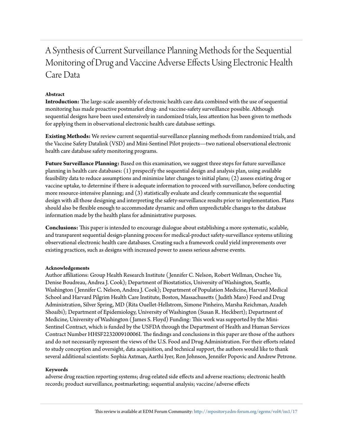# A Synthesis of Current Surveillance Planning Methods for the Sequential Monitoring of Drug and Vaccine Adverse Effects Using Electronic Health Care Data

#### **Abstract**

**Introduction:** The large-scale assembly of electronic health care data combined with the use of sequential monitoring has made proactive postmarket drug- and vaccine-safety surveillance possible. Although sequential designs have been used extensively in randomized trials, less attention has been given to methods for applying them in observational electronic health care database settings.

**Existing Methods:** We review current sequential-surveillance planning methods from randomized trials, and the Vaccine Safety Datalink (VSD) and Mini-Sentinel Pilot projects—two national observational electronic health care database safety monitoring programs.

**Future Surveillance Planning:** Based on this examination, we suggest three steps for future surveillance planning in health care databases: (1) prespecify the sequential design and analysis plan, using available feasibility data to reduce assumptions and minimize later changes to initial plans; (2) assess existing drug or vaccine uptake, to determine if there is adequate information to proceed with surveillance, before conducting more resource-intensive planning; and (3) statistically evaluate and clearly communicate the sequential design with all those designing and interpreting the safety-surveillance results prior to implementation. Plans should also be flexible enough to accommodate dynamic and often unpredictable changes to the database information made by the health plans for administrative purposes.

**Conclusions:** This paper is intended to encourage dialogue about establishing a more systematic, scalable, and transparent sequential design-planning process for medical-product safety-surveillance systems utilizing observational electronic health care databases. Creating such a framework could yield improvements over existing practices, such as designs with increased power to assess serious adverse events.

#### **Acknowledgements**

Author affiliations: Group Health Research Institute ( Jennifer C. Nelson, Robert Wellman, Onchee Yu, Denise Boudreau, Andrea J. Cook); Department of Biostatistics, University of Washington, Seattle, Washington ( Jennifer C. Nelson, Andrea J. Cook); Department of Population Medicine, Harvard Medical School and Harvard Pilgrim Health Care Institute, Boston, Massachusetts ( Judith Maro) Food and Drug Administration, Silver Spring, MD (Rita Ouellet-Hellstrom, Simone Pinheiro, Marsha Reichman, Azadeh Shoaibi); Department of Epidemiology, University of Washington (Susan R. Heckbert); Department of Medicine, University of Washington ( James S. Floyd) Funding: This work was supported by the Mini-Sentinel Contract, which is funded by the USFDA through the Department of Health and Human Services Contract Number HHSF223200910006I. The findings and conclusions in this paper are those of the authors and do not necessarily represent the views of the U.S. Food and Drug Administration. For their efforts related to study conception and oversight, data acquisition, and technical support, the authors would like to thank several additional scientists: Sophia Axtman, Aarthi Iyer, Ron Johnson, Jennifer Popovic and Andrew Petrone.

#### **Keywords**

adverse drug reaction reporting systems; drug-related side effects and adverse reactions; electronic health records; product surveillance, postmarketing; sequential analysis; vaccine/adverse effects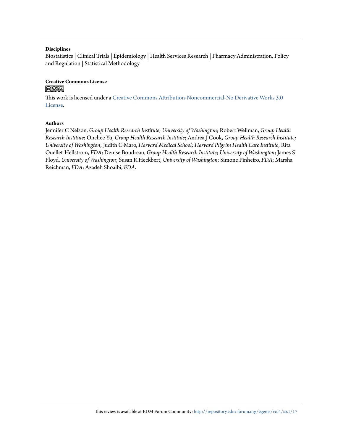#### **Disciplines**

Biostatistics | Clinical Trials | Epidemiology | Health Services Research | Pharmacy Administration, Policy and Regulation | Statistical Methodology

# **Creative Commons License**

#### <u>@ 000</u>

This work is licensed under a [Creative Commons Attribution-Noncommercial-No Derivative Works 3.0](http://creativecommons.org/licenses/by-nc-nd/3.0/) [License.](http://creativecommons.org/licenses/by-nc-nd/3.0/)

#### **Authors**

Jennifer C Nelson, *Group Health Research Institute; University of Washington*; Robert Wellman, *Group Health Research Institute*; Onchee Yu, *Group Health Research Institute*; Andrea J Cook, *Group Health Research Institute; University of Washington*; Judith C Maro, *Harvard Medical School; Harvard Pilgrim Health Care Institute*; Rita Ouellet-Hellstrom, *FDA*; Denise Boudreau, *Group Health Research Institute; University of Washington*; James S Floyd, *University of Washington*; Susan R Heckbert, *University of Washington*; Simone Pinheiro, *FDA*; Marsha Reichman, *FDA*; Azadeh Shoaibi, *FDA*.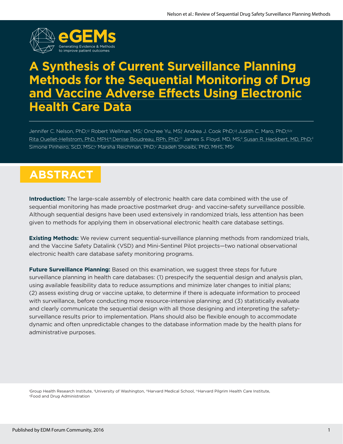

# **A Synthesis of Current Surveillance Planning Methods for the Sequential Monitoring of Drug and Vaccine Adverse Effects Using Electronic Health Care Data**

Jennifer C. Nelson, PhD;<sup>ui</sup> Robert Wellman, MS;<sup>i</sup> Onchee Yu, MS;| Andrea J. Cook PhD;<sup>ui</sup> Judith C. Maro, PhD;<sup>iii,v</sup> Rita Ouellet-Hellstrom, PhD, MPH;<sub>Y</sub> Denise Boudreau, RPh, PhD;<sup>ii</sup>l James S. Floyd, MD, MS;<sup>ii</sup> Susan R. Heckbert, MD, PhD;<sup>i</sup> Simone Pinheiro, ScD, MSc;<sup>v</sup> Marsha Reichman, PhD;<sup>v</sup> Azadeh Shoaibi, PhD, MHS, MS<sup>v</sup>

# **ABSTRACT**

**Introduction:** The large-scale assembly of electronic health care data combined with the use of sequential monitoring has made proactive postmarket drug- and vaccine-safety surveillance possible. Although sequential designs have been used extensively in randomized trials, less attention has been given to methods for applying them in observational electronic health care database settings.

**Existing Methods:** We review current sequential-surveillance planning methods from randomized trials, and the Vaccine Safety Datalink (VSD) and Mini-Sentinel Pilot projects—two national observational electronic health care database safety monitoring programs.

**Future Surveillance Planning:** Based on this examination, we suggest three steps for future surveillance planning in health care databases: (1) prespecify the sequential design and analysis plan, using available feasibility data to reduce assumptions and minimize later changes to initial plans; (2) assess existing drug or vaccine uptake, to determine if there is adequate information to proceed with surveillance, before conducting more resource-intensive planning; and (3) statistically evaluate and clearly communicate the sequential design with all those designing and interpreting the safetysurveillance results prior to implementation. Plans should also be flexible enough to accommodate dynamic and often unpredictable changes to the database information made by the health plans for administrative purposes.

'Group Health Research Institute, "University of Washington, "Harvard Medical School, "Harvard Pilgrim Health Care Institute,<br>"Food and Drug Administration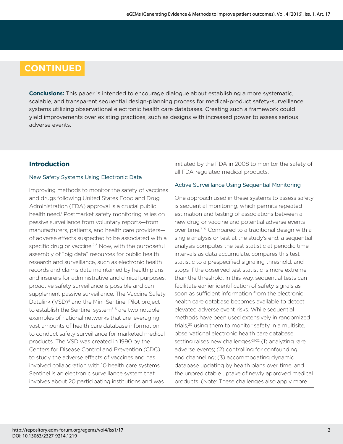# **CONTINUED**

**Conclusions:** This paper is intended to encourage dialogue about establishing a more systematic, scalable, and transparent sequential design-planning process for medical-product safety-surveillance systems utilizing observational electronic health care databases. Creating such a framework could yield improvements over existing practices, such as designs with increased power to assess serious adverse events.

# **Introduction**

## New Safety Systems Using Electronic Data

Improving methods to monitor the safety of vaccines and drugs following United States Food and Drug Administration (FDA) approval is a crucial public health need.1 Postmarket safety monitoring relies on passive surveillance from voluntary reports—from manufacturers, patients, and health care providers of adverse effects suspected to be associated with a specific drug or vaccine. $2-3$  Now, with the purposeful assembly of "big data" resources for public health research and surveillance, such as electronic health records and claims data maintained by health plans and insurers for administrative and clinical purposes, proactive safety surveillance is possible and can supplement passive surveillance. The Vaccine Safety Datalink (VSD)4 and the Mini-Sentinel Pilot project to establish the Sentinel system<sup>5-6</sup> are two notable examples of national networks that are leveraging vast amounts of health care database information to conduct safety surveillance for marketed medical products. The VSD was created in 1990 by the Centers for Disease Control and Prevention (CDC) to study the adverse effects of vaccines and has involved collaboration with 10 health care systems. Sentinel is an electronic surveillance system that involves about 20 participating institutions and was

initiated by the FDA in 2008 to monitor the safety of all FDA-regulated medical products.

## Active Surveillance Using Sequential Monitoring

One approach used in these systems to assess safety is sequential monitoring, which permits repeated estimation and testing of associations between a new drug or vaccine and potential adverse events over time.<sup>7-19</sup> Compared to a traditional design with a single analysis or test at the study's end, a sequential analysis computes the test statistic at periodic time intervals as data accumulate, compares this test statistic to a prespecified signaling threshold, and stops if the observed test statistic is more extreme than the threshold. In this way, sequential tests can facilitate earlier identification of safety signals as soon as sufficient information from the electronic health care database becomes available to detect elevated adverse event risks. While sequential methods have been used extensively in randomized trials,<sup>20</sup> using them to monitor safety in a multisite. observational electronic health care database setting raises new challenges:<sup>21-22</sup> (1) analyzing rare adverse events; (2) controlling for confounding and channeling; (3) accommodating dynamic database updating by health plans over time, and the unpredictable uptake of newly approved medical products. (Note: These challenges also apply more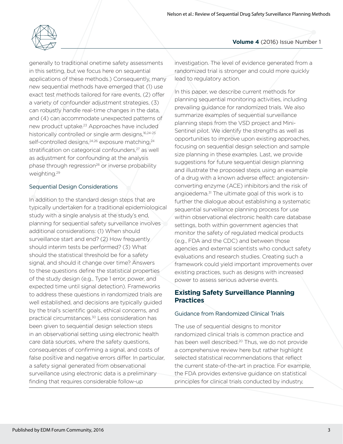

generally to traditional onetime safety assessments in this setting, but we focus here on sequential applications of these methods.) Consequently, many new sequential methods have emerged that (1) use exact test methods tailored for rare events, (2) offer a variety of confounder adjustment strategies, (3) can robustly handle real-time changes in the data, and (4) can accommodate unexpected patterns of new product uptake.23 Approaches have included historically controlled or single arm designs,<sup>16,24-25</sup> self-controlled designs, <sup>24,26</sup> exposure matching, <sup>24</sup> stratification on categorical confounders,<sup>27</sup> as well as adjustment for confounding at the analysis phase through regression<sup>28</sup> or inverse probability weighting.29

## Sequential Design Considerations

In addition to the standard design steps that are typically undertaken for a traditional epidemiological study with a single analysis at the study's end, planning for sequential safety surveillance involves additional considerations: (1) When should surveillance start and end? (2) How frequently should interim tests be performed? (3) What should the statistical threshold be for a safety signal, and should it change over time? Answers to these questions define the statistical properties of the study design (e.g., Type 1 error, power, and expected time until signal detection). Frameworks to address these questions in randomized trials are well established, and decisions are typically guided by the trial's scientific goals, ethical concerns, and practical circumstances.30 Less consideration has been given to sequential design selection steps in an observational setting using electronic health care data sources, where the safety questions, consequences of confirming a signal, and costs of false positive and negative errors differ. In particular, a safety signal generated from observational surveillance using electronic data is a preliminary finding that requires considerable follow-up

investigation. The level of evidence generated from a randomized trial is stronger and could more quickly lead to regulatory action.

In this paper, we describe current methods for planning sequential monitoring activities, including prevailing guidance for randomized trials. We also summarize examples of sequential surveillance planning steps from the VSD project and Mini-Sentinel pilot. We identify the strengths as well as opportunities to improve upon existing approaches, focusing on sequential design selection and sample size planning in these examples. Last, we provide suggestions for future sequential design planning and illustrate the proposed steps using an example of a drug with a known adverse effect: angiotensinconverting enzyme (ACE) inhibitors and the risk of angioedema.<sup>31</sup> The ultimate goal of this work is to further the dialogue about establishing a systematic sequential surveillance planning process for use within observational electronic health care database settings, both within government agencies that monitor the safety of regulated medical products (e.g., FDA and the CDC) and between those agencies and external scientists who conduct safety evaluations and research studies. Creating such a framework could yield important improvements over existing practices, such as designs with increased power to assess serious adverse events.

# **Existing Safety Surveillance Planning Practices**

#### Guidance from Randomized Clinical Trials

The use of sequential designs to monitor randomized clinical trials is common practice and has been well described.<sup>20</sup> Thus, we do not provide a comprehensive review here but rather highlight selected statistical recommendations that reflect the current state-of-the-art in practice. For example, the FDA provides extensive guidance on statistical principles for clinical trials conducted by industry,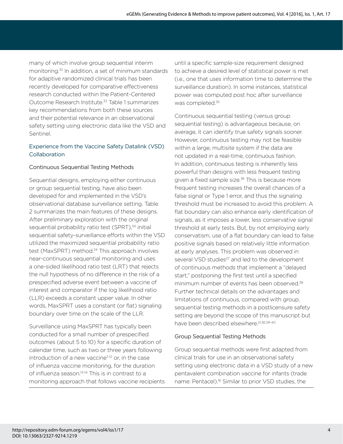many of which involve group sequential interim monitoring.32 In addition, a set of minimum standards for adaptive randomized clinical trials has been recently developed for comparative effectiveness research conducted within the Patient-Centered Outcome Research Institute.33 Table 1 summarizes key recommendations from both these sources and their potential relevance in an observational safety setting using electronic data like the VSD and Sentinel.

## Experience from the Vaccine Safety Datalink (VSD) Collaboration

## Continuous Sequential Testing Methods

Sequential designs, employing either continuous or group sequential testing, have also been developed for and implemented in the VSD's observational database surveillance setting. Table 2 summarizes the main features of these designs. After preliminary exploration with the original sequential probability ratio test (SPRT),<sup>34</sup> initial sequential safety-surveillance efforts within the VSD utilized the maximized sequential probability ratio test (MaxSPRT) method.<sup>24</sup> This approach involves near-continuous sequential monitoring and uses a one-sided likelihood ratio test (LRT) that rejects the null hypothesis of no difference in the risk of a prespecified adverse event between a vaccine of interest and comparator if the log likelihood ratio (LLR) exceeds a constant upper value. In other words, MaxSPRT uses a constant (or flat) signaling boundary over time on the scale of the LLR.

Surveillance using MaxSPRT has typically been conducted for a small number of prespecified outcomes (about 5 to 10) for a specific duration of calendar time, such as two or three years following introduction of a new vaccine<sup>7-12</sup> or, in the case of influenza vaccine monitoring, for the duration of influenza season.<sup>13-14</sup> This is in contrast to a monitoring approach that follows vaccine recipients

until a specific sample-size requirement designed to achieve a desired level of statistical power is met (i.e., one that uses information time to determine the surveillance duration). In some instances, statistical power was computed post hoc after surveillance was completed.<sup>35</sup>

Continuous sequential testing (versus group sequential testing) is advantageous because, on average, it can identify true safety signals sooner. However, continuous testing may not be feasible within a large, multisite system if the data are not updated in a real-time, continuous fashion. In addition, continuous testing is inherently less powerful than designs with less frequent testing given a fixed sample size.<sup>36</sup> This is because more frequent testing increases the overall chances of a false signal or Type 1 error, and thus the signaling threshold must be increased to avoid this problem. A flat boundary can also enhance early identification of signals, as it imposes a lower, less conservative signal threshold at early tests. But, by not employing early conservatism, use of a flat boundary can lead to false positive signals based on relatively little information at early analyses. This problem was observed in several VSD studies<sup>37</sup> and led to the development of continuous methods that implement a "delayed start," postponing the first test until a specified minimum number of events has been observed.<sup>38</sup> Further technical details on the advantages and limitations of continuous, compared with group, sequential testing methods in a postlicensure safety setting are beyond the scope of this manuscript but have been described elsewhere.<sup>21,36,39-40</sup>

### Group Sequential Testing Methods

Group sequential methods were first adapted from clinical trials for use in an observational safety setting using electronic data in a VSD study of a new pentavalent combination vaccine for infants (trade name: Pentacel).16 Similar to prior VSD studies, the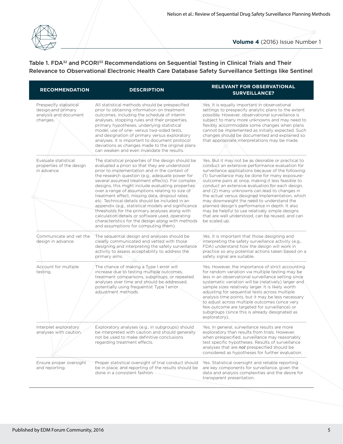

# Table 1. FDA<sup>32</sup> and PCORI<sup>33</sup> Recommendations on Sequential Testing in Clinical Trials and Their Relevance to Observational Electronic Health Care Database Safety Surveillance Settings like Sentinel

| <b>RECOMMENDATION</b>                                                             | <b>DESCRIPTION</b>                                                                                                                                                                                                                                                                                                                                                                                                                                                                                                                                                                                                                                                                                                                | <b>RELEVANT FOR OBSERVATIONAL</b><br><b>SURVEILLANCE?</b><br>Yes. It is equally important in observational<br>settings to prespecify analytic plans to the extent<br>possible. However, observational surveillance is<br>subject to many more unknowns and may need to<br>flexibly accommodate some changes when plans<br>cannot be implemented as initially expected. Such<br>changes should be documented and explained so<br>that appropriate interpretations may be made.                                                                                                                                                                        |  |  |
|-----------------------------------------------------------------------------------|-----------------------------------------------------------------------------------------------------------------------------------------------------------------------------------------------------------------------------------------------------------------------------------------------------------------------------------------------------------------------------------------------------------------------------------------------------------------------------------------------------------------------------------------------------------------------------------------------------------------------------------------------------------------------------------------------------------------------------------|------------------------------------------------------------------------------------------------------------------------------------------------------------------------------------------------------------------------------------------------------------------------------------------------------------------------------------------------------------------------------------------------------------------------------------------------------------------------------------------------------------------------------------------------------------------------------------------------------------------------------------------------------|--|--|
| Prespecify statistical<br>design and primary<br>analysis and document<br>changes. | All statistical methods should be prespecified<br>prior to obtaining information on treatment<br>outcomes, including the schedule of interim<br>analyses, stopping rules and their properties,<br>primary hypotheses, underlying statistical<br>model, use of one- versus two-sided tests,<br>and designation of primary versus exploratory<br>analyses. It is important to document protocol<br>deviations as changes made to the original plans<br>can weaken and even invalidate the results.                                                                                                                                                                                                                                  |                                                                                                                                                                                                                                                                                                                                                                                                                                                                                                                                                                                                                                                      |  |  |
| Evaluate statistical<br>properties of the design<br>in advance.                   | The statistical properties of the design should be<br>evaluated a priori so that they are understood<br>prior to implementation and in the context of<br>the research question (e.g., adequate power for<br>several assumed treatment effects). For complex<br>designs, this might include evaluating properties<br>over a range of assumptions relating to size of<br>treatment effect, missing data, dropout rates,<br>etc. Technical details should be included in an<br>appendix (e.g., statistical models and significance<br>thresholds for the primary analyses along with<br>calculation details or software used, operating<br>characteristics for the design along with methods<br>and assumptions for computing them). | Yes. But it may not be as desirable or practical to<br>conduct an extensive performance evaluation for<br>surveillance applications because of the following:<br>(1) Surveillance may be done for many exposure-<br>outcome pairs at once, making it less feasible to<br>conduct an extensive evaluation for each design,<br>and (2) many unknowns can lead to changes in<br>the actual versus designed implementation, which<br>may downweight the need to understand the<br>planned design's performance in depth. It also<br>may be helpful to use relatively simple designs<br>that are well understood, can be reused, and can<br>be scaled up. |  |  |
| Communicate and yet the<br>design in advance.                                     | The sequential design and analyses should be<br>clearly communicated and vetted with those<br>designing and interpreting the safety surveillance<br>activity to assess acceptability to address the<br>primary aims.                                                                                                                                                                                                                                                                                                                                                                                                                                                                                                              | Yes. It is important that those designing and<br>interpreting the safety surveillance activity (e.g.,<br>FDA) understand how the design will work in<br>practice so any potential actions taken based on a<br>safety signal are suitable.                                                                                                                                                                                                                                                                                                                                                                                                            |  |  |
| Account for multiple<br>testing.                                                  | The chance of making a Type 1 error will<br>increase due to testing multiple outcomes,<br>treatment comparisons, subgroups, or repeated<br>analyses over time and should be addressed,<br>potentially using frequentist Type 1 error<br>adjustment methods.                                                                                                                                                                                                                                                                                                                                                                                                                                                                       | Yes. However, the importance of strict accounting<br>for random variation via multiple testing may be<br>less in an observational surveillance setting since<br>systematic variation will be (relatively) larger and<br>sample sizes relatively larger. It is likely worth<br>adjusting for sequential tests across multiple<br>analysis time points, but it may be less necessary<br>to adjust across multiple outcomes (since very<br>few outcome are targeted for surveillance) or<br>subgroups (since this is already designated as<br>exploratory).                                                                                             |  |  |
| Interpret exploratory<br>analyses with caution.                                   | Exploratory analyses (e.g., in subgroups) should<br>be interpreted with caution and should generally<br>not be used to make definitive conclusions<br>regarding treatment effects.                                                                                                                                                                                                                                                                                                                                                                                                                                                                                                                                                | Yes. In general, surveillance results are more<br>exploratory than results from trials. However,<br>when prespecified, surveillance may reasonably<br>test specific hypotheses. Results of surveillance<br>analyses that are not prespecified should be<br>considered as hypotheses for further evaluation.                                                                                                                                                                                                                                                                                                                                          |  |  |
| Ensure proper oversight<br>and reporting.                                         | Proper statistical oversight of trial conduct should<br>be in place, and reporting of the results should be<br>done in a consistent fashion.                                                                                                                                                                                                                                                                                                                                                                                                                                                                                                                                                                                      | Yes. Statistical oversight and reliable reporting<br>are key components for surveillance, given the<br>data and analysis complexities and the desire for<br>transparent presentation.                                                                                                                                                                                                                                                                                                                                                                                                                                                                |  |  |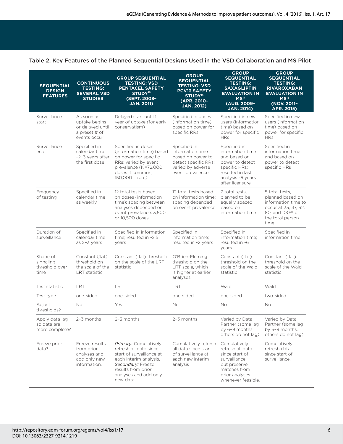#### Table 2. Key Features of the Planned Sequential Designs Used in the VSD Collaboration and MS Pilot

| <b>SEQUENTIAL</b><br><b>DESIGN</b><br><b>FEATURES</b> | <b>CONTINUOUS</b><br><b>TESTING:</b><br><b>SEVERAL VSD</b><br><b>STUDIES</b>     | <b>GROUP SEQUENTIAL</b><br><b>TESTING: VSD</b><br>PENTACEL SAFETY<br>STUDY <sup>16</sup><br>(SEPT. 2008-<br><b>JAN. 2011)</b>                                                          | <b>GROUP</b><br><b>SEQUENTIAL</b><br><b>TESTING: VSD</b><br><b>PCV13 SAFETY</b><br>STUDY <sup>15</sup><br>(APR. 2010-<br><b>JAN. 2012)</b> | <b>GROUP</b><br><b>SEQUENTIAL</b><br><b>TESTING:</b><br><b>SAXAGLIPTIN</b><br><b>EVALUATION IN</b><br>MS <sup>17</sup><br>(AUG. 2009-<br><b>JAN. 2014)</b> | <b>GROUP</b><br><b>SEQUENTIAL</b><br><b>TESTING:</b><br><b>RIVAROXABAN</b><br><b>EVALUATION IN</b><br>MS <sup>18</sup><br>(NOV. 2011-<br>APR. 2015) |
|-------------------------------------------------------|----------------------------------------------------------------------------------|----------------------------------------------------------------------------------------------------------------------------------------------------------------------------------------|--------------------------------------------------------------------------------------------------------------------------------------------|------------------------------------------------------------------------------------------------------------------------------------------------------------|-----------------------------------------------------------------------------------------------------------------------------------------------------|
| Surveillance<br>start                                 | As soon as<br>uptake begins<br>or delayed until<br>a preset # of<br>events occur | Delayed start until 1<br>year of uptake (for early<br>conservatism)                                                                                                                    | Specified in doses<br>(information time)<br>based on power for<br>specific RRs                                                             | Specified in new<br>users (information<br>time) based on<br>power for specific<br><b>HRs</b>                                                               | Specified in new<br>users (information<br>time) based on<br>power for specific<br><b>HRs</b>                                                        |
| Surveillance<br>end                                   | Specified in<br>calendar time<br>~2-3 years after<br>the first dose              | Specified in doses<br>(information time) based<br>on power for specific<br>RRs; varied by event<br>prevalence (N=72,000<br>doses if common,<br>150,000 if rare)                        | Specified in<br>information time<br>based on power to<br>detect specific RRs;<br>varied by adverse<br>event prevalence                     | Specified in<br>information time<br>and based on<br>power to detect<br>specific HRs;<br>resulted in last<br>analysis ~6 years<br>after licensure           | Specified in<br>information time<br>and based on<br>power to detect<br>specific HRs                                                                 |
| Frequency<br>of testing                               | Specified in<br>calendar time<br>as weekly                                       | 12 total tests based<br>on doses (information<br>time); spacing between<br>analyses depended on<br>event prevalence: 3,500<br>or 10,500 doses                                          | 12 total tests based<br>on information time;<br>spacing depended<br>on event prevalence                                                    | 7 total tests.<br>planned to be<br>equally spaced<br>based on<br>information time                                                                          | 5 total tests.<br>planned based on<br>information time to<br>occur at 35, 47, 62,<br>80, and 100% of<br>the total person-<br>time                   |
| Duration of<br>surveillance                           | Specified in<br>calendar time<br>as 2-3 years                                    | Specified in information<br>time; resulted in ~2.5<br>years                                                                                                                            | Specified in<br>information time;<br>resulted in -2 years                                                                                  | Specified in<br>information time;<br>resulted in ~6<br>years                                                                                               | Specified in<br>information time                                                                                                                    |
| Shape of<br>signaling<br>threshold over<br>time       | Constant (flat)<br>threshold on<br>the scale of the<br><b>LRT</b> statistic      | Constant (flat) threshold<br>on the scale of the LRT<br>statistic                                                                                                                      | O'Brien-Fleming<br>threshold on the<br>LRT scale, which<br>is higher at earlier<br>analyses                                                | Constant (flat)<br>threshold on the<br>scale of the Wald<br>statistic                                                                                      | Constant (flat)<br>threshold on the<br>scale of the Wald<br>statistic                                                                               |
| Test statistic                                        | <b>IRT</b>                                                                       | LRT                                                                                                                                                                                    | LRT                                                                                                                                        | Wald                                                                                                                                                       | Wald                                                                                                                                                |
| Test type                                             | one-sided                                                                        | one-sided                                                                                                                                                                              | one-sided                                                                                                                                  | one-sided                                                                                                                                                  | two-sided                                                                                                                                           |
| Adjust<br>thresholds?                                 | No                                                                               | Yes                                                                                                                                                                                    | No                                                                                                                                         | No                                                                                                                                                         | No                                                                                                                                                  |
| Apply data lag<br>so data are<br>more complete?       | 2-3 months                                                                       | 2-3 months                                                                                                                                                                             | $2-3$ months                                                                                                                               | Varied by Data<br>Partner (some lag<br>by 6-9 months,<br>others do not lag)                                                                                | Varied by Data<br>Partner (some lag<br>by 6-9 months,<br>others do not lag)                                                                         |
| Freeze prior<br>data?                                 | Freeze results<br>from prior<br>analyses and<br>add only new<br>information.     | Primary: Cumulatively<br>refresh all data since<br>start of surveillance at<br>each interim analysis.<br>Secondary: Freeze<br>results from prior<br>analyses and add only<br>new data. | Cumulatively refresh<br>all data since start<br>of surveillance at<br>each new interim<br>analysis                                         | Cumulatively<br>refresh all data<br>since start of<br>surveillance<br>but preserve<br>matches from<br>prior analyses<br>whenever feasible.                 | Cumulatively<br>refresh data<br>since start of<br>surveillance.                                                                                     |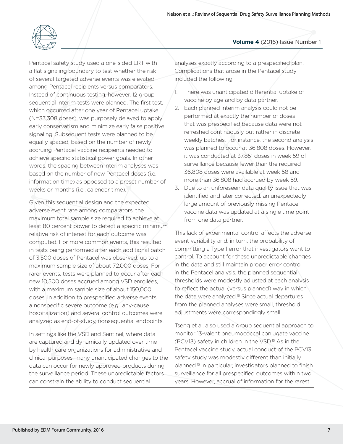

Pentacel safety study used a one-sided LRT with a flat signaling boundary to test whether the risk of several targeted adverse events was elevated among Pentacel recipients versus comparators. Instead of continuous testing, however, 12 group sequential interim tests were planned. The first test, which occurred after one year of Pentacel uptake (N=33,308 doses), was purposely delayed to apply early conservatism and minimize early false positive signaling. Subsequent tests were planned to be equally spaced, based on the number of newly accruing Pentacel vaccine recipients needed to achieve specific statistical power goals. In other words, the spacing between interim analyses was based on the number of new Pentacel doses (i.e., information time) as opposed to a preset number of weeks or months (i.e., calendar time).

Given this sequential design and the expected adverse event rate among comparators, the maximum total sample size required to achieve at least 80 percent power to detect a specific minimum relative risk of interest for each outcome was computed. For more common events, this resulted in tests being performed after each additional batch of 3,500 doses of Pentacel was observed, up to a maximum sample size of about 72,000 doses. For rarer events, tests were planned to occur after each new 10,500 doses accrued among VSD enrollees, with a maximum sample size of about 150,000 doses. In addition to prespecified adverse events, a nonspecific severe outcome (e.g., any-cause hospitalization) and several control outcomes were analyzed as end-of-study, nonsequential endpoints.

In settings like the VSD and Sentinel, where data are captured and dynamically updated over time by health care organizations for administrative and clinical purposes, many unanticipated changes to the data can occur for newly approved products during the surveillance period. These unpredictable factors can constrain the ability to conduct sequential

analyses exactly according to a prespecified plan. Complications that arose in the Pentacel study included the following:

- 1. There was unanticipated differential uptake of vaccine by age and by data partner.
- 2. Each planned interim analysis could not be performed at exactly the number of doses that was prespecified because data were not refreshed continuously but rather in discrete weekly batches. For instance, the second analysis was planned to occur at 36,808 doses. However, it was conducted at 37,851 doses in week 59 of surveillance because fewer than the required 36,808 doses were available at week 58 and more than 36,808 had accrued by week 59.
- 3. Due to an unforeseen data quality issue that was identified and later corrected, an unexpectedly large amount of previously missing Pentacel vaccine data was updated at a single time point from one data partner.

This lack of experimental control affects the adverse event variability and, in turn, the probability of committing a Type 1 error that investigators want to control. To account for these unpredictable changes in the data and still maintain proper error control in the Pentacel analysis, the planned sequential thresholds were modestly adjusted at each analysis to reflect the actual (versus planned) way in which the data were analyzed.<sup>16</sup> Since actual departures from the planned analyses were small, threshold adjustments were correspondingly small.

Tseng et al. also used a group sequential approach to monitor 13-valent pneumococcal conjugate vaccine (PCV13) safety in children in the VSD.15 As in the Pentacel vaccine study, actual conduct of the PCV13 safety study was modestly different than initially planned.15 In particular, investigators planned to finish surveillance for all prespecified outcomes within two years. However, accrual of information for the rarest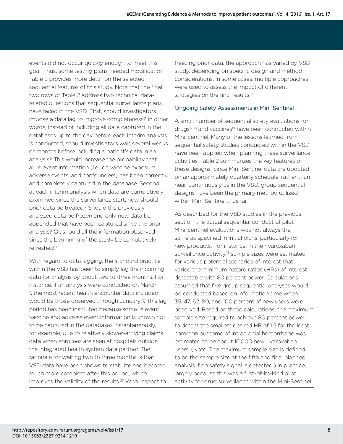events did not occur quickly enough to meet this goal. Thus, some testing plans needed modification. Table 2 provides more detail on the selected sequential features of this study. Note that the final two rows of Table 2 address two technical datarelated questions that sequential surveillance plans have faced in the VSD. First, should investigators impose a data lag to improve completeness? In other words, instead of including all data captured in the databases up to the day before each interim analysis is conducted, should investigators wait several weeks or months before including a patient's data in an analysis? This would increase the probability that all relevant information (i.e., on vaccine exposure, adverse events, and confounders) has been correctly and completely captured in the database. Second, at each interim analysis when data are cumulatively examined since the surveillance start, how should prior data be treated? Should the previously analyzed data be frozen and only new data be appended that have been captured since the prior analysis? Or, should all the information observed since the beginning of the study be cumulatively refreshed?

With regard to data lagging, the standard practice within the VSD has been to simply lag the incoming data for analysis by about two to three months. For instance, if an analysis were conducted on March 1, the most recent health encounter data included would be those observed through January 1. This lag period has been instituted because some relevant vaccine and adverse event information is known not to be captured in the databases instantaneously, for example, due to relatively slower-arriving claims data when enrollees are seen at hospitals outside the integrated health system data partner. The rationale for waiting two to three months is that VSD data have been shown to stabilize and become much more complete after this period, which improves the validity of the results.<sup>35</sup> With respect to

freezing prior data, the approach has varied by VSD study, depending on specific design and method considerations. In some cases, multiple approaches were used to assess the impact of different strategies on the final results.<sup>16</sup>

### Ongoing Safety Assessments in Mini-Sentinel

A small number of sequential safety evaluations for drugs<sup>17-18</sup> and vaccines<sup>19</sup> have been conducted within Mini-Sentinel. Many of the lessons learned from sequential safety studies conducted within the VSD have been applied when planning these surveillance activities. Table 2 summarizes the key features of these designs. Since Mini-Sentinel data are updated on an approximately quarterly schedule, rather than near-continuously as in the VSD, group sequential designs have been the primary method utilized within Mini-Sentinel thus far.

As described for the VSD studies in the previous section, the actual sequential conduct of pilot Mini-Sentinel evaluations was not always the same as specified in initial plans, particularly for new products. For instance, in the rivaroxaban surveillance activity,<sup>18</sup> sample sizes were estimated for various potential scenarios of interest that varied the minimum hazard ratios (HRs) of interest detectable with 80 percent power. Calculations assumed that five group sequential analyses would be conducted based on information time when 35, 47, 62, 80, and 100 percent of new users were observed. Based on these calculations, the maximum sample size required to achieve 80 percent power to detect the smallest desired HR of 1.5 for the least common outcome of intracranial hemorrhage was estimated to be about 16,000 new rivaroxaban users. (Note: The maximum sample size is defined to be the sample size at the fifth and final planned analysis if no safety signal is detected.) In practice, largely because this was a first-of-its-kind pilot activity for drug surveillance within the Mini-Sentinel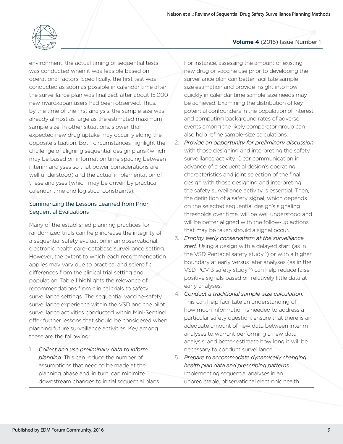

environment, the actual timing of sequential tests was conducted when it was feasible based on operational factors. Specifically, the first test was conducted as soon as possible in calendar time after the surveillance plan was finalized, after about 15,000 new rivaroxaban users had been observed. Thus, by the time of the first analysis, the sample size was already almost as large as the estimated maximum sample size. In other situations, slower-thanexpected new drug uptake may occur, yielding the opposite situation. Both circumstances highlight the challenge of aligning sequential design plans (which may be based on information time spacing between interim analyses so that power considerations are well understood) and the actual implementation of these analyses (which may be driven by practical calendar time and logistical constraints).

### Summarizing the Lessons Learned from Prior Sequential Evaluations

Many of the established planning practices for randomized trials can help increase the integrity of a sequential safety evaluation in an observational, electronic health care–database surveillance setting. However, the extent to which each recommendation applies may vary due to practical and scientific differences from the clinical trial setting and population. Table 1 highlights the relevance of recommendations from clinical trials to safety surveillance settings. The sequential vaccine-safety surveillance experience within the VSD and the pilot surveillance activities conducted within Mini-Sentinel offer further lessons that should be considered when planning future surveillance activities. Key among these are the following:

1. *Collect and use preliminary data to inform planning*. This can reduce the number of assumptions that need to be made at the planning phase and, in turn, can minimize downstream changes to initial sequential plans.

#### **Volume 4** (2016) Issue Number 1

For instance, assessing the amount of existing new drug or vaccine use prior to developing the surveillance plan can better facilitate samplesize estimation and provide insight into how quickly in calendar time sample-size needs may be achieved. Examining the distribution of key potential confounders in the population of interest and computing background rates of adverse events among the likely comparator group can also help refine sample-size calculations.

- 2. *Provide an opportunity for preliminary discussion* with those designing and interpreting the safety surveillance activity. Clear communication in advance of a sequential design's operating characteristics and joint selection of the final design with those designing and interpreting the safety surveillance activity is essential. Then, the definition of a safety signal, which depends on the selected sequential design's signaling thresholds over time, will be well understood and will be better aligned with the follow-up actions that may be taken should a signal occur.
- 3. *Employ early conservatism at the surveillance start*. Using a design with a delayed start (as in the VSD Pentacel safety study<sup>16</sup>) or with a higher boundary at early versus later analyses (as in the VSD PCV13 safety study<sup>15</sup>) can help reduce false positive signals based on relatively little data at early analyses.
- 4. *Conduct a traditional sample-size calculation*. This can help facilitate an understanding of how much information is needed to address a particular safety question, ensure that there is an adequate amount of new data between interim analyses to warrant performing a new data analysis, and better estimate how long it will be necessary to conduct surveillance.
- 5. *Prepare to accommodate dynamically changing health plan data and prescribing patterns*. Implementing sequential analyses in an unpredictable, observational electronic health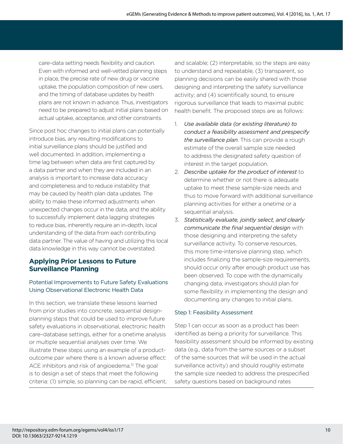care–data setting needs flexibility and caution. Even with informed and well-vetted planning steps in place, the precise rate of new drug or vaccine uptake, the population composition of new users, and the timing of database updates by health plans are not known in advance. Thus, investigators need to be prepared to adjust initial plans based on actual uptake, acceptance, and other constraints.

Since post hoc changes to initial plans can potentially introduce bias, any resulting modifications to initial surveillance plans should be justified and well documented. In addition, implementing a time lag between when data are first captured by a data partner and when they are included in an analysis is important to increase data accuracy and completeness and to reduce instability that may be caused by health plan data updates. The ability to make these informed adjustments when unexpected changes occur in the data, and the ability to successfully implement data lagging strategies to reduce bias, inherently require an in-depth, local understanding of the data from each contributing data partner. The value of having and utilizing this local data knowledge in this way cannot be overstated.

# **Applying Prior Lessons to Future Surveillance Planning**

# Potential Improvements to Future Safety Evaluations Using Observational Electronic Health Data

In this section, we translate these lessons learned from prior studies into concrete, sequential designplanning steps that could be used to improve future safety evaluations in observational, electronic health care–database settings, either for a onetime analysis or multiple sequential analyses over time. We illustrate these steps using an example of a productoutcome pair where there is a known adverse effect: ACE inhibitors and risk of angioedema.<sup>31</sup> The goal is to design a set of steps that meet the following criteria: (1) simple, so planning can be rapid, efficient,

and scalable; (2) interpretable, so the steps are easy to understand and repeatable, (3) transparent, so planning decisions can be easily shared with those designing and interpreting the safety surveillance activity; and (4) scientifically sound, to ensure rigorous surveillance that leads to maximal public health benefit. The proposed steps are as follows:

- 1. *Use available data (or existing literature) to conduct a feasibility assessment and prespecify the surveillance plan*. This can provide a rough estimate of the overall sample size needed to address the designated safety question of interest in the target population.
- 2. *Describe uptake for the product of interest* to determine whether or not there is adequate uptake to meet these sample-size needs and thus to move forward with additional surveillance planning activities for either a onetime or a sequential analysis.
- 3. *Statistically evaluate, jointly select, and clearly*  communicate the final sequential design with those designing and interpreting the safety surveillance activity. To conserve resources, this more time-intensive planning step, which includes finalizing the sample-size requirements, should occur only after enough product use has been observed. To cope with the dynamically changing data, investigators should plan for some flexibility in implementing the design and documenting any changes to initial plans.

### Step 1: Feasibility Assessment

Step 1 can occur as soon as a product has been identified as being a priority for surveillance. This feasibility assessment should be informed by existing data (e.g., data from the same sources or a subset of the same sources that will be used in the actual surveillance activity) and should roughly estimate the sample size needed to address the prespecified safety questions based on background rates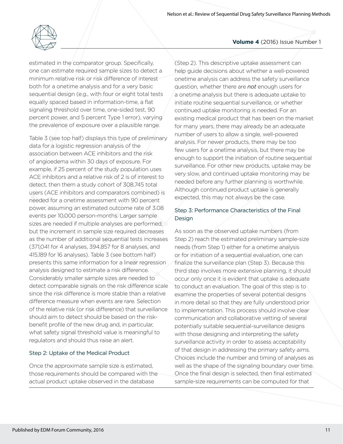

estimated in the comparator group. Specifically, one can estimate required sample sizes to detect a minimum relative risk or risk difference of interest both for a onetime analysis and for a very basic sequential design (e.g., with four or eight total tests equally spaced based in information-time, a flat signaling threshold over time, one-sided test, 90 percent power, and 5 percent Type 1 error), varying the prevalence of exposure over a plausible range.

Table 3 (see top half) displays this type of preliminary data for a logistic regression analysis of the association between ACE inhibitors and the risk of angioedema within 30 days of exposure. For example, if 25 percent of the study population uses ACE inhibitors and a relative risk of 2 is of interest to detect, then them a study cohort of 308,745 total users (ACE inhibitors and comparators combined) is needed for a onetime assessment with 90 percent power, assuming an estimated outcome rate of 3.08 events per 10,000 person-months. Larger sample sizes are needed if multiple analyses are performed, but the increment in sample size required decreases as the number of additional sequential tests increases (371,041 for 4 analyses, 394,857 for 8 analyses, and 415,189 for 16 analyses). Table 3 (see bottom half) presents this same information for a linear regression analysis designed to estimate a risk difference. Considerably smaller sample sizes are needed to detect comparable signals on the risk difference scale since the risk difference is more stable than a relative difference measure when events are rare. Selection of the relative risk (or risk difference) that surveillance should aim to detect should be based on the riskbenefit profile of the new drug and, in particular, what safety signal threshold value is meaningful to regulators and should thus raise an alert.

#### Step 2: Uptake of the Medical Product

Once the approximate sample size is estimated, those requirements should be compared with the actual product uptake observed in the database

## (Step 2). This descriptive uptake assessment can help guide decisions about whether a well-powered onetime analysis can address the safety surveillance question, whether there are *not* enough users for a onetime analysis but there is adequate uptake to initiate routine sequential surveillance, or whether continued uptake monitoring is needed. For an existing medical product that has been on the market for many years, there may already be an adequate number of users to allow a single, well-powered analysis. For newer products, there may be too few users for a onetime analysis, but there may be enough to support the initiation of routine sequential surveillance. For other new products, uptake may be very slow, and continued uptake monitoring may be needed before any further planning is worthwhile. Although continued product uptake is generally expected, this may not always be the case.

## Step 3: Performance Characteristics of the Final Design

As soon as the observed uptake numbers (from Step 2) reach the estimated preliminary sample-size needs (from Step 1) either for a onetime analysis or for initiation of a sequential evaluation, one can finalize the surveillance plan (Step 3). Because this third step involves more extensive planning, it should occur only once it is evident that uptake is adequate to conduct an evaluation. The goal of this step is to examine the properties of several potential designs in more detail so that they are fully understood prior to implementation. This process should involve clear communication and collaborative vetting of several potentially suitable sequential-surveillance designs with those designing and interpreting the safety surveillance activity in order to assess acceptability of that design in addressing the primary safety aims. Choices include the number and timing of analyses as well as the shape of the signaling boundary over time. Once the final design is selected, then final estimated sample-size requirements can be computed for that

#### **Volume 4** (2016) Issue Number 1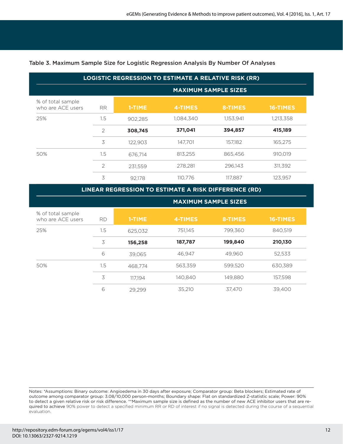| <b>LOGISTIC REGRESSION TO ESTIMATE A RELATIVE RISK (RR)</b> |                |                             |           |           |           |  |
|-------------------------------------------------------------|----------------|-----------------------------|-----------|-----------|-----------|--|
|                                                             |                | <b>MAXIMUM SAMPLE SIZES</b> |           |           |           |  |
| % of total sample<br>who are ACE users                      | <b>RR</b>      | 1-TIME                      | 4-TIMES   | 8-TIMES   | 16-TIMES  |  |
| 25%                                                         | $1.5\,$        | 902.285                     | 1,084,340 | 1,153,941 | 1,213,358 |  |
|                                                             | $\mathfrak{D}$ | 308,745                     | 371,041   | 394,857   | 415,189   |  |
|                                                             | 3              | 122,903                     | 147.701   | 157.182   | 165.275   |  |
| 50%                                                         | 1.5            | 676.714                     | 813,255   | 865,456   | 910.019   |  |
|                                                             | $\overline{2}$ | 231.559                     | 278.281   | 296,143   | 311.392   |  |
|                                                             | 3              | 92.178                      | 110.776   | 117,887   | 123,957   |  |

#### Table 3. Maximum Sample Size for Logistic Regression Analysis By Number Of Analyses

**LINEAR REGRESSION TO ESTIMATE A RISK DIFFERENCE (RD)**

|                                        |           | <b>MAXIMUM SAMPLE SIZES</b> |         |         |          |
|----------------------------------------|-----------|-----------------------------|---------|---------|----------|
| % of total sample<br>who are ACE users | <b>RD</b> | 1-TIME                      | 4-TIMES | 8-TIMES | 16-TIMES |
| 25%                                    | 1.5       | 625.032                     | 751,145 | 799.360 | 840.519  |
|                                        | 3         | 156,258                     | 187,787 | 199,840 | 210,130  |
|                                        | 6         | 39.065                      | 46.947  | 49.960  | 52.533   |
| 50%                                    | 1.5       | 468.774                     | 563.359 | 599.520 | 630.389  |
|                                        | 3         | 117.194                     | 140.840 | 149.880 | 157.598  |
|                                        | 6         | 29.299                      | 35.210  | 37.470  | 39.400   |

Notes: \*Assumptions: Binary outcome: Angioedema in 30 days after exposure; Comparator group: Beta blockers; Estimated rate of outcome among comparator group: 3.08/10,000 person-months; Boundary shape: Flat on standardized Z-statistic scale; Power: 90% to detect a given relative risk or risk difference. \*\*Maximum sample size is defined as the number of new ACE inhibitor users that are required to achieve 90% power to detect a specified minimum RR or RD of interest if no signal is detected during the course of a sequential evaluation.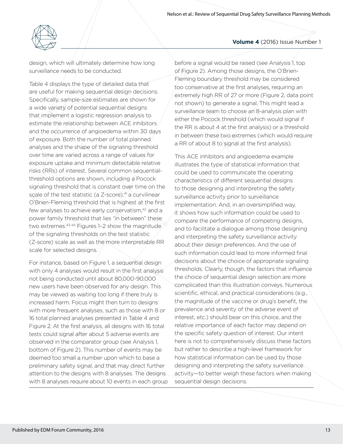

design, which will ultimately determine how long surveillance needs to be conducted.

Table 4 displays the type of detailed data that are useful for making sequential design decisions. Specifically, sample-size estimates are shown for a wide variety of potential sequential designs that implement a logistic regression analysis to estimate the relationship between ACE inhibitors and the occurrence of angioedema within 30 days of exposure. Both the number of total planned analyses and the shape of the signaling threshold over time are varied across a range of values for exposure uptake and minimum detectable relative risks (RRs) of interest. Several common sequentialthreshold options are shown, including a Pocock signaling threshold that is constant over time on the scale of the test statistic (a  $Z$ -score), $41$  a curvilinear O'Brien-Fleming threshold that is highest at the first few analyses to achieve early conservatism,<sup>42</sup> and a power family threshold that lies "in between" these two extremes.43-44 Figures 1–2 show the magnitude of the signaling thresholds on the test statistic (Z-score) scale as well as the more interpretable RR scale for selected designs.

For instance, based on Figure 1, a sequential design with only 4 analyses would result in the first analysis not being conducted until about 80,000-90,000 new users have been observed for any design. This may be viewed as waiting too long if there truly is increased harm. Focus might then turn to designs with more frequent analyses, such as those with 8 or 16 total planned analyses presented in Table 4 and Figure 2. At the first analysis, all designs with 16 total tests could signal after about 5 adverse events are observed in the comparator group (see Analysis 1, bottom of Figure 2). This number of events may be deemed too small a number upon which to base a preliminary safety signal, and that may direct further attention to the designs with 8 analyses. The designs with 8 analyses require about 10 events in each group

before a signal would be raised (see Analysis 1, top of Figure 2). Among those designs, the O'Brien-Fleming boundary threshold may be considered too conservative at the first analyses, requiring an extremely high RR of 27 or more (Figure 2, data point not shown) to generate a signal. This might lead a surveillance team to choose an 8-analysis plan with either the Pocock threshold (which would signal if the RR is about 4 at the first analysis) or a threshold in between these two extremes (which would require a RR of about 8 to signal at the first analysis).

This ACE inhibitors and angioedema example illustrates the type of statistical information that could be used to communicate the operating characteristics of different sequential designs to those designing and interpreting the safety surveillance activity prior to surveillance implementation. And, in an oversimplified way, it shows how such information could be used to compare the performance of competing designs, and to facilitate a dialogue among those designing and interpreting the safety surveillance activity about their design preferences. And the use of such information could lead to more informed final decisions about the choice of appropriate signaling thresholds. Clearly, though, the factors that influence the choice of sequential design selection are more complicated than this illustration conveys. Numerous scientific, ethical, and practical considerations (e.g., the magnitude of the vaccine or drug's benefit, the prevalence and severity of the adverse event of interest, etc.) should bear on this choice, and the relative importance of each factor may depend on the specific safety question of interest. Our intent here is not to comprehensively discuss these factors but rather to describe a high-level framework for how statistical information can be used by those designing and interpreting the safety surveillance activity—to better weigh these factors when making sequential design decisions.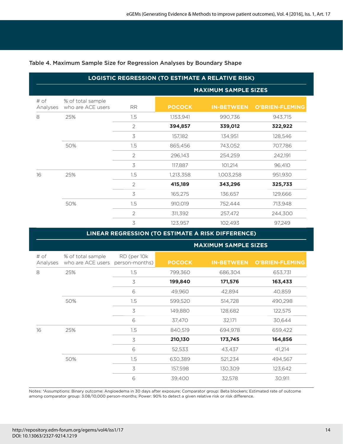| <b>LOGISTIC REGRESSION (TO ESTIMATE A RELATIVE RISK)</b> |                                        |                |                             |                   |                        |
|----------------------------------------------------------|----------------------------------------|----------------|-----------------------------|-------------------|------------------------|
|                                                          |                                        |                | <b>MAXIMUM SAMPLE SIZES</b> |                   |                        |
| # of<br>Analyses                                         | % of total sample<br>who are ACE users | <b>RR</b>      | <b>POCOCK</b>               | <b>IN-BETWEEN</b> | <b>O'BRIEN-FLEMING</b> |
| 8                                                        | 25%                                    | 1.5            | 1,153,941                   | 990,736           | 943,715                |
|                                                          |                                        | $\overline{2}$ | 394,857                     | 339,012           | 322,922                |
|                                                          |                                        | 3              | 157,182                     | 134,951           | 128,546                |
|                                                          | 50%                                    | 1.5            | 865,456                     | 743,052           | 707,786                |
|                                                          |                                        | $\overline{2}$ | 296,143                     | 254,259           | 242,191                |
|                                                          |                                        | 3              | 117,887                     | 101,214           | 96,410                 |
| 16                                                       | 25%                                    | 1.5            | 1,213,358                   | 1,003,258         | 951,930                |
|                                                          |                                        | $\overline{2}$ | 415,189                     | 343,296           | 325,733                |
|                                                          |                                        | 3              | 165,275                     | 136,657           | 129,666                |
|                                                          | 50%                                    | 1.5            | 910,019                     | 752,444           | 713,948                |
|                                                          |                                        | 2              | 311,392                     | 257,472           | 244,300                |
|                                                          |                                        | 3              | 123,957                     | 102,493           | 97,249                 |

#### Table 4. Maximum Sample Size for Regression Analyses by Boundary Shape

| LINEAR REGRESSION (TO ESTIMATE A RISK DIFFERENCE) |                                                       |             |                             |                   |                        |
|---------------------------------------------------|-------------------------------------------------------|-------------|-----------------------------|-------------------|------------------------|
|                                                   |                                                       |             | <b>MAXIMUM SAMPLE SIZES</b> |                   |                        |
| # of<br>Analyses                                  | % of total sample<br>who are ACE users person-months) | RD (per 10k | <b>POCOCK</b>               | <b>IN-BETWEEN</b> | <b>O'BRIEN-FLEMING</b> |
| 8                                                 | 25%                                                   | 1.5         | 799,360                     | 686,304           | 653,731                |
|                                                   |                                                       | 3           | 199,840                     | 171,576           | 163,433                |
|                                                   |                                                       | 6           | 49,960                      | 42,894            | 40,859                 |
|                                                   | 50%                                                   | 1.5         | 599,520                     | 514,728           | 490,298                |
|                                                   |                                                       | 3           | 149,880                     | 128,682           | 122,575                |
|                                                   |                                                       | 6           | 37,470                      | 32,171            | 30,644                 |
| 16                                                | 25%                                                   | 1.5         | 840,519                     | 694,978           | 659,422                |
|                                                   |                                                       | 3           | 210,130                     | 173,745           | 164,856                |
|                                                   |                                                       | 6           | 52,533                      | 43,437            | 41,214                 |
|                                                   | 50%                                                   | 1.5         | 630,389                     | 521,234           | 494,567                |
|                                                   |                                                       | 3           | 157,598                     | 130,309           | 123,642                |
|                                                   |                                                       | 6           | 39,400                      | 32,578            | 30,911                 |

Notes: \*Assumptions: Binary outcome: Angioedema in 30 days after exposure; Comparator group: Beta blockers; Estimated rate of outcome among comparator group: 3.08/10,000 person-months; Power: 90% to detect a given relative risk or risk difference.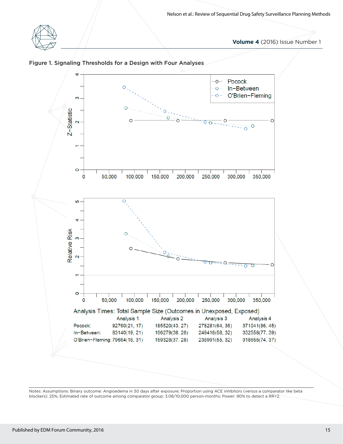



#### Figure 1. Signaling Thresholds for a Design with Four Analyses

Notes: Assumptions: Binary outcome: Angioedema in 30 days after exposure; Proportion using ACE inhibitors (versus a comparator like beta blockers): 25%; Estimated rate of outcome among comparator group: 3.08/10,000 person-months; Power: 90% to detect a RR=2.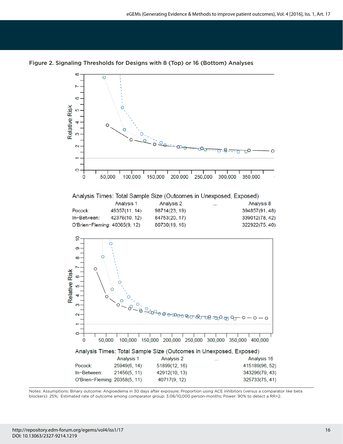

Figure 2. Signaling Thresholds for Designs with 8 (Top) or 16 (Bottom) Analyses

Notes: Assumptions: Binary outcome: Angioedema in 30 days after exposure; Proportion using ACE inhibitors (versus a comparator like beta blockers): 25%; Estimated rate of outcome among comparator group: 3.08/10,000 person-months; Power: 90% to detect a RR=2.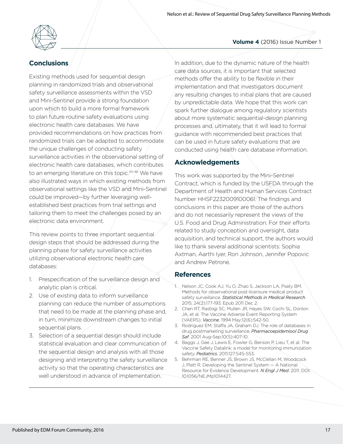

# **Conclusions**

Existing methods used for sequential design planning in randomized trials and observational safety surveillance assessments within the VSD and Mini-Sentinel provide a strong foundation upon which to build a more formal framework to plan future routine safety evaluations using electronic health care databases. We have provided recommendations on how practices from randomized trials can be adapted to accommodate the unique challenges of conducting safety surveillance activities in the observational setting of electronic health care databases, which contributes to an emerging literature on this topic.<sup>45-46</sup> We have also illustrated ways in which existing methods from observational settings like the VSD and Mini-Sentinel could be improved—by further leveraging wellestablished best practices from trial settings and tailoring them to meet the challenges posed by an electronic data environment.

This review points to three important sequential design steps that should be addressed during the planning phase for safety surveillance activities utilizing observational electronic health care databases:

- 1. Prespecification of the surveillance design and analytic plan is critical.
- 2. Use of existing data to inform surveillance planning can reduce the number of assumptions that need to be made at the planning phase and, in turn, minimize downstream changes to initial sequential plans.
- 3. Selection of a sequential design should include statistical evaluation and clear communication of the sequential design and analysis with all those designing and interpreting the safety surveillance activity so that the operating characteristics are well understood in advance of implementation.

In addition, due to the dynamic nature of the health care data sources, it is important that selected methods offer the ability to be flexible in their implementation and that investigators document any resulting changes to initial plans that are caused by unpredictable data. We hope that this work can spark further dialogue among regulatory scientists about more systematic sequential-design planning processes and, ultimately, that it will lead to formal guidance with recommended best practices that can be used in future safety evaluations that are conducted using health care database information.

## **Acknowledgements**

This work was supported by the Mini-Sentinel Contract, which is funded by the USFDA through the Department of Health and Human Services Contract Number HHSF223200910006I. The findings and conclusions in this paper are those of the authors and do not necessarily represent the views of the U.S. Food and Drug Administration. For their efforts related to study conception and oversight, data acquisition, and technical support, the authors would like to thank several additional scientists: Sophia Axtman, Aarthi Iyer, Ron Johnson, Jennifer Popovic and Andrew Petrone.

### **References**

- 1. Nelson JC, Cook AJ, Yu O, Zhao S, Jackson LA, Psaty BM. Methods for observational post-licensure medical product safety surveillance. *Statistical Methods in Medical Research*. 2015; 24(2):177-193. Epub 2011 Dec 2.
- 2. Chen RT, Rastogi SC, Mullen JR, Hayes SW, Cochi SL, Donlon JA, et al. The Vaccine Adverse Event Reporting System (VAERS). *Vaccine*. 1994 May;12(6):542-50.
- 3. Rodriguez EM, Staffa JA, Graham DJ. The role of databases in drug postmarketing surveillance. *Pharmacoepidemiool Drug Saf*. 2001 Aug-Sep;10(5):407-10.
- 4. Baggs J, Gee J, Lewis E, Fowler G, Benson P, Lieu T, et al. The Vaccine Safety Datalink: a model for monitoring immunization safety. *Pediatrics*. 2011;127:S45-S53.
- 5. Behrman RE, Benner JS, Brown JS, McClellan M, Woodcock J, Platt R. Developing the Sentinel System — A National Resource for Evidence Development. *N Engl J Med*. 2011. DOI: 10.1056/NEJMp1014427.

# **Volume 4** (2016) Issue Number 1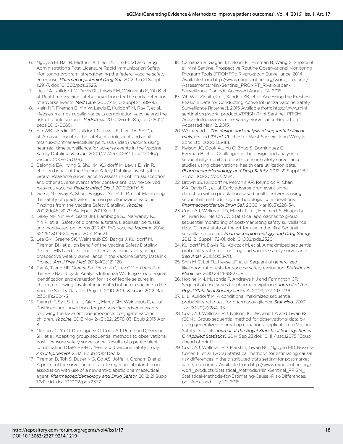- 6. Nguyen M, Ball R, Midthun K, Lieu TA. The Food and Drug Administration's Post-Licensure Rapid Immunization Safety Monitoring program: strengthening the federal vaccine safety enterprise. *Pharmacoepidemiol Drug Saf*. 2012 Jan;21 Suppl 1:291-7. doi: 10.1002/pds.2323.
- 7. Lieu TA, Kulldorff M, Davis RL, Lewis EM, Weintraub E, Yih K et al. Real-time vaccine safety surveillance for the early detection of adverse events. *Med Care*. 2007;45(10 Suppl 2):S89-95.
- 8. Klein NP, Fireman B, Yih W, Lewis E, Kulldorff M, Ray P, et al. Measles-mumps-rubella-varicella combination vaccine and the risk of febrile seizures. *Pediatrics*. 2010;126:e1-e8. (doi:10.1542/ peds.2010-0665).
- 9. Yih WK, Nordin JD, Kulldorff M, Lewis E, Lieu TA, Shi P, et al. An assessment of the safety of adolescent and adult tetanus-diphtheria-acellular pertussis (Tdap) vaccine, using near real-time surveillance for adverse events in the Vaccine Safety Datalink. *Vaccine*. 2009;27:4257-4262. (doi:10.1016/j. vaccine.2009.05.036).
- 10. Belongia EA, Irving S, Shui IM, Kulldorff M, Lewis E, Yin R, et al. on behalf of the Vaccine Safety Datalink Investigation Group. Real-time surveillance to assess risk of intussusception and other adverse events after pentavalent, bovine-derived rotavirus vaccine. *Pediatr Infect Dis J*. 2010;29(1):1-5.
- 11. Gee J, Naleway A, Shui I, Baggs J, Yin R, Li R, et al. Monitoring the safety of quadrivalent human papillomavirus vaccine: Findings from the Vaccine Safety Datalink. *Vaccine*. 2011;29(46):8279-84. Epub 2011 Sep 9.
- 12. Daley MF, Yih WK, Glanz JM, Hambidge SJ, Narwaney KJ, Yin R, et. al. Safety of diphtheria, tetanus, acellular pertussis and inactivated poliovirus (DRaP-IPV) vaccine. *Vaccine*. 2014; 32(25):3019-24. Epub 2014 Mar 31.
- 13. Lee GM, Greene SK, Weintraub ES, Baggs J, Kulldorff M, Fireman BH et al. on behalf of the Vaccine Safety Datalink Project. H1N1 and seasonal influenza vaccine safety using prospective weekly surveillance in the Vaccine Safety Datalink Project. *Am J Prev Med*. 2011;41(2):121-128.
- 14. Tse A, Tseng HF, Greene SK, Vellozzi C, Lee GM on behalf of the VSD Rapid cycle Analysis Influenza Working Group. Signal identification and evaluation for risk of febrile seizures in children following trivalent inactivated influenza vaccine in the Vaccine Safety Datalink Project, 2010-2011. *Vaccine*. 2012 Mar 2;30(11):2024-31.
- 15. Tseng HF, Sy LS, Liu IL, Qian L, Marcy SM, Weintraub E, et. al. Postlicensure surveillance for pre-specified adverse events following the 13-valent pneumococcal conjugate vaccine in children. *Vaccine*. 2013 May 24;31(22):2578-83. Epub 2013 Apr 8.
- 16. Nelson JC, Yu O, Dominguez C, Cook AJ, Peterson D, Greene SK, et al. Adapting group sequential methods to observational post-licensure safety surveillance: Results of a pentavalent combination DTaP-IPV-Hib (Pentacel) vaccine safety study. *Am J Epidemiol*. 2013; Epub 2012 Dec 12.
- 17. Fireman B, Toh S, Butler MG, Go AS, Joffe H, Graham D et al. A protocol for surveillance of acute myocardial infarction in association with use of a new anti-diabetic pharmaceutical agent. *Pharmacoepidemiology and Drug Safety*. 2012; 21 Suppl 1:282-90. doi: 10.1002/pds.2337.
- 18. Carnahan R, Gagne J, Nelson JC, Fireman B, Wang S, Shoabi et al. Mini-Sentinel Prospective Routine Observational Monitoring Program Tools (PROMPT): Rivaroxaban Surveillance. 2014. Available from http://www.mini-sentinel.org/work\_products/ Assessments/Mini-Sentinel\_PROMPT\_Rivaroxaban-Surveillance-Plan.pdf. Accessed August 14, 2015.
- 19. Yih WK, Zichittella L, Sandhu SK, et al. Accessing the Freshest Feasible Data for Conducting Active Influenza Vaccine Safety Surveillance [Internet]. 2015 Available from: http://www.minisentinel.org/work\_products/PRISM/Mini-Sentinel\_PRISM\_ Active-Influenza-Vaccine-Safety-Surveillance-Report.pdf. Accessed May 12, 2015.
- 20. Whitehead J. *The design and analysis of sequential clinical trials*, revised *2nd ed*. Chichester, West Sussex: John Wiley & Sons Ltd; 2000:135-181.
- 21. Nelson JC, Cook AJ, Yu O, Zhao S, Dominguez C, Fireman B, et al. Challenges in the design and analysis of sequentially-monitored post-licensure safety surveillance studies using observational health care utilization data. *Pharmacoepidemiology and Drug Safety*. 2012; 21 Suppl 1:62- 71. doi: 10.1002/pds.2324.
- 22. Brown JS, Kulldorff M, Petronis KR, Reynolds R, Chan KA, Davis RL, et. al. Early adverse drug event signal detection within population-based health networks using sequential methods: key methodologic considerations. *Pharmacoepidemiol Drug Saf*. 2009 Mar;18(3):226-34.
- 23. Cook AJ, Wellman RD, Marsh T, Li L, Heckbert S, Heagerty P, Tiwari RC, Nelson JC. Statistical approaches to group sequential monitoring of post-marketing safety surveillance data: Current state of the art for use in the Mini-Sentinel surveillance project. *Pharmacoepidemiology and Drug Safety*. 2012; 21 Suppl 1:72-81. doi: 10.1002/pds.2320
- 24. Kulldorff M, Davis RL, Kolczak M, et al. A maximized sequential probability ratio test for drug and vaccine safety surveillance. Seq Anal. 2011;30:58-78.
- 25. Shih M-C, Lai TL, Heyse JF, et al. Sequential generalized likelihood ratio tests for vaccine safety evaluation. *Statistics in Medicine*. 2010;29:2698-2708.
- 26. Hocine MN, Musonda P, Andrews NJ and Farrington CP. Sequential case series for pharmacovigilance. *Journal of the Royal Statistical Society series A*, 2009, 172: 213-236.
- 27. Li L, Kulldorff M. A conditional maximized sequential probability ratio test for pharmacovigilance. *Stat Med*. 2010 Jan 30;29(2):284-95.
- 28. Cook AJ, Wellman RD, Nelson JC, Jackson LA and Tiwari RC. (2014), Group sequential method for observational data by using generalized estimating equations: application to Vaccine Safety Datalink. *Journal of the Royal Statistical Society: Series C (Applied Statistics)* 2014 Sep 23.doi: 10.1111/rssc.12075 [Epub ahead of print]
- 29. Cook AJ, Wellman RD, Marsh T, Tiwari RC, Nguyen MD, Russek-Cohen E, et al. (2012) Statistical methods for estimating causal risk differences in the distributed data setting for postmarket safety outcomes. Available from http://www.mini-sentinel.org/ work\_products/Statistical\_Methods/Mini-Sentinel\_PRISM\_ Statistical-Methods-for-Estimating-Causal-Risk-Differences. pdf. Accessed July 20, 2015.